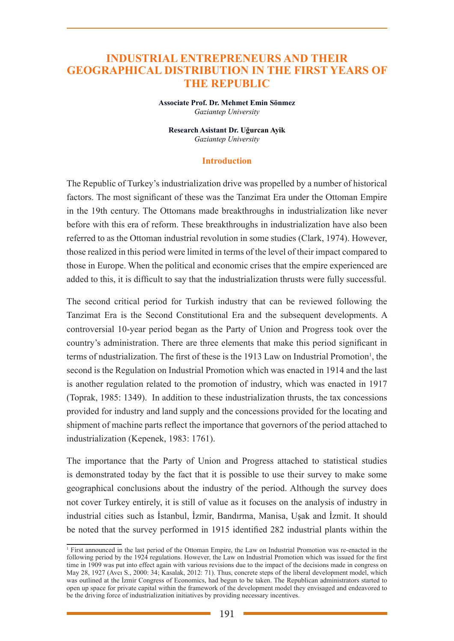## **INDUSTRIAL ENTREPRENEURS AND THEIR GEOGRAPHICAL DISTRIBUTION IN THE FIRST YEARS OF THE REPUBLIC**

**Associate Prof. Dr. Mehmet Emin Sönmez** *Gaziantep University*

**Research Asistant Dr. Uğurcan Ayik** *Gaziantep University*

#### **Introduction**

The Republic of Turkey's industrialization drive was propelled by a number of historical factors. The most significant of these was the Tanzimat Era under the Ottoman Empire in the 19th century. The Ottomans made breakthroughs in industrialization like never before with this era of reform. These breakthroughs in industrialization have also been referred to as the Ottoman industrial revolution in some studies (Clark, 1974). However, those realized in this period were limited in terms of the level of their impact compared to those in Europe. When the political and economic crises that the empire experienced are added to this, it is difficult to say that the industrialization thrusts were fully successful.

The second critical period for Turkish industry that can be reviewed following the Tanzimat Era is the Second Constitutional Era and the subsequent developments. A controversial 10-year period began as the Party of Union and Progress took over the country's administration. There are three elements that make this period significant in terms of ndustrialization. The first of these is the 1913 Law on Industrial Promotion<sup>1</sup>, the second is the Regulation on Industrial Promotion which was enacted in 1914 and the last is another regulation related to the promotion of industry, which was enacted in 1917 (Toprak, 1985: 1349). In addition to these industrialization thrusts, the tax concessions provided for industry and land supply and the concessions provided for the locating and shipment of machine parts reflect the importance that governors of the period attached to industrialization (Kepenek, 1983: 1761).

The importance that the Party of Union and Progress attached to statistical studies is demonstrated today by the fact that it is possible to use their survey to make some geographical conclusions about the industry of the period. Although the survey does not cover Turkey entirely, it is still of value as it focuses on the analysis of industry in industrial cities such as İstanbul, İzmir, Bandırma, Manisa, Uşak and İzmit. It should be noted that the survey performed in 1915 identified 282 industrial plants within the

<sup>1</sup> First announced in the last period of the Ottoman Empire, the Law on Industrial Promotion was re-enacted in the following period by the 1924 regulations. However, the Law on Industrial Promotion which was issued for the first time in 1909 was put into effect again with various revisions due to the impact of the decisions made in congress on May 28, 1927 (Avcı S., 2000: 34; Kasalak, 2012: 71). Thus, concrete steps of the liberal development model, which was outlined at the Izmir Congress of Economics, had begun to be taken. The Republican administrators started to open up space for private capital within the framework of the development model they envisaged and endeavored to be the driving force of industrialization initiatives by providing necessary incentives.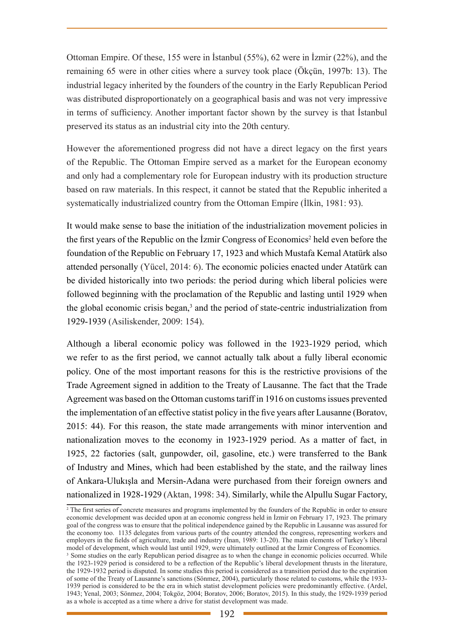Ottoman Empire. Of these, 155 were in İstanbul (55%), 62 were in İzmir (22%), and the remaining 65 were in other cities where a survey took place (Ökçün, 1997b: 13). The industrial legacy inherited by the founders of the country in the Early Republican Period was distributed disproportionately on a geographical basis and was not very impressive in terms of sufficiency. Another important factor shown by the survey is that İstanbul preserved its status as an industrial city into the 20th century.

However the aforementioned progress did not have a direct legacy on the first years of the Republic. The Ottoman Empire served as a market for the European economy and only had a complementary role for European industry with its production structure based on raw materials. In this respect, it cannot be stated that the Republic inherited a systematically industrialized country from the Ottoman Empire (İlkin, 1981: 93).

It would make sense to base the initiation of the industrialization movement policies in the first years of the Republic on the Izmir Congress of Economics<sup>2</sup> held even before the foundation of the Republic on February 17, 1923 and which Mustafa Kemal Atatürk also attended personally (Yücel, 2014: 6). The economic policies enacted under Atatürk can be divided historically into two periods: the period during which liberal policies were followed beginning with the proclamation of the Republic and lasting until 1929 when the global economic crisis began,<sup>3</sup> and the period of state-centric industrialization from 1929-1939 (Asiliskender, 2009: 154).

Although a liberal economic policy was followed in the 1923-1929 period, which we refer to as the first period, we cannot actually talk about a fully liberal economic policy. One of the most important reasons for this is the restrictive provisions of the Trade Agreement signed in addition to the Treaty of Lausanne. The fact that the Trade Agreement was based on the Ottoman customs tariff in 1916 on customs issues prevented the implementation of an effective statist policy in the five years after Lausanne (Boratov, 2015: 44). For this reason, the state made arrangements with minor intervention and nationalization moves to the economy in 1923-1929 period. As a matter of fact, in 1925, 22 factories (salt, gunpowder, oil, gasoline, etc.) were transferred to the Bank of Industry and Mines, which had been established by the state, and the railway lines of Ankara-Ulukışla and Mersin-Adana were purchased from their foreign owners and nationalized in 1928-1929 (Aktan, 1998: 34). Similarly, while the Alpullu Sugar Factory,

<sup>&</sup>lt;sup>2</sup> The first series of concrete measures and programs implemented by the founders of the Republic in order to ensure economic development was decided upon at an economic congress held in İzmir on February 17, 1923. The primary goal of the congress was to ensure that the political independence gained by the Republic in Lausanne was assured for the economy too. 1135 delegates from various parts of the country attended the congress, representing workers and employers in the fields of agriculture, trade and industry (İnan, 1989: 13-20). The main elements of Turkey's liberal model of development, which would last until 1929, were ultimately outlined at the İzmir Congress of Economics. <sup>3</sup> Some studies on the early Republican period disagree as to when the change in economic policies occurred. While the 1923-1929 period is considered to be a reflection of the Republic's liberal development thrusts in the literature, the 1929-1932 period is disputed. In some studies this period is considered as a transition period due to the expiration of some of the Treaty of Lausanne's sanctions (Sönmez, 2004), particularly those related to customs, while the 1933- 1939 period is considered to be the era in which statist development policies were predominantly effective. (Ardel, 1943; Yenal, 2003; Sönmez, 2004; Tokgöz, 2004; Boratov, 2006; Boratov, 2015). In this study, the 1929-1939 period as a whole is accepted as a time where a drive for statist development was made.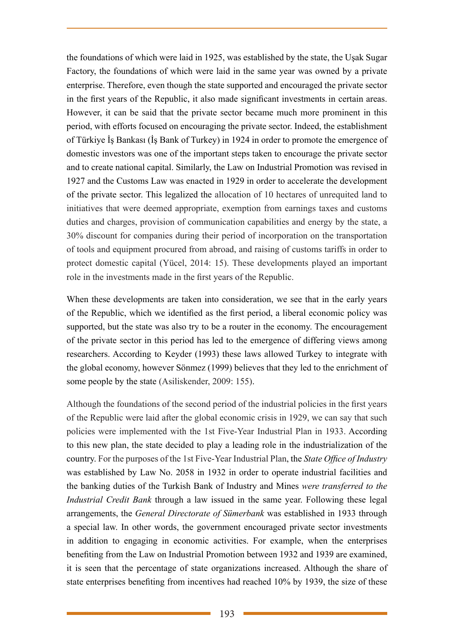the foundations of which were laid in 1925, was established by the state, the Uşak Sugar Factory, the foundations of which were laid in the same year was owned by a private enterprise. Therefore, even though the state supported and encouraged the private sector in the first years of the Republic, it also made significant investments in certain areas. However, it can be said that the private sector became much more prominent in this period, with efforts focused on encouraging the private sector. Indeed, the establishment of Türkiye İş Bankası (İş Bank of Turkey) in 1924 in order to promote the emergence of domestic investors was one of the important steps taken to encourage the private sector and to create national capital. Similarly, the Law on Industrial Promotion was revised in 1927 and the Customs Law was enacted in 1929 in order to accelerate the development of the private sector. This legalized the allocation of 10 hectares of unrequited land to initiatives that were deemed appropriate, exemption from earnings taxes and customs duties and charges, provision of communication capabilities and energy by the state, a 30% discount for companies during their period of incorporation on the transportation of tools and equipment procured from abroad, and raising of customs tariffs in order to protect domestic capital (Yücel, 2014: 15). These developments played an important role in the investments made in the first years of the Republic.

When these developments are taken into consideration, we see that in the early years of the Republic, which we identified as the first period, a liberal economic policy was supported, but the state was also try to be a router in the economy. The encouragement of the private sector in this period has led to the emergence of differing views among researchers. According to Keyder (1993) these laws allowed Turkey to integrate with the global economy, however Sönmez (1999) believes that they led to the enrichment of some people by the state (Asiliskender, 2009: 155).

Although the foundations of the second period of the industrial policies in the first years of the Republic were laid after the global economic crisis in 1929, we can say that such policies were implemented with the 1st Five-Year Industrial Plan in 1933. According to this new plan, the state decided to play a leading role in the industrialization of the country. For the purposes of the 1st Five-Year Industrial Plan, the *State Office of Industry*  was established by Law No. 2058 in 1932 in order to operate industrial facilities and the banking duties of the Turkish Bank of Industry and Mines *were transferred to the Industrial Credit Bank* through a law issued in the same year. Following these legal arrangements, the *General Directorate of Sümerbank* was established in 1933 through a special law. In other words, the government encouraged private sector investments in addition to engaging in economic activities. For example, when the enterprises benefiting from the Law on Industrial Promotion between 1932 and 1939 are examined, it is seen that the percentage of state organizations increased. Although the share of state enterprises benefiting from incentives had reached 10% by 1939, the size of these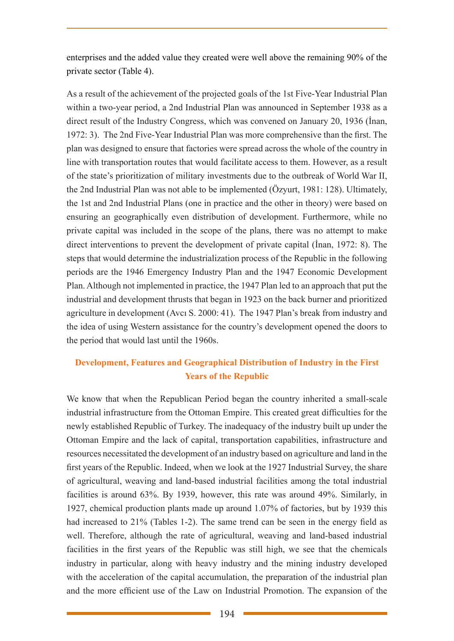enterprises and the added value they created were well above the remaining 90% of the private sector (Table 4).

As a result of the achievement of the projected goals of the 1st Five-Year Industrial Plan within a two-year period, a 2nd Industrial Plan was announced in September 1938 as a direct result of the Industry Congress, which was convened on January 20, 1936 (İnan, 1972: 3). The 2nd Five-Year Industrial Plan was more comprehensive than the first. The plan was designed to ensure that factories were spread across the whole of the country in line with transportation routes that would facilitate access to them. However, as a result of the state's prioritization of military investments due to the outbreak of World War II, the 2nd Industrial Plan was not able to be implemented (Özyurt, 1981: 128). Ultimately, the 1st and 2nd Industrial Plans (one in practice and the other in theory) were based on ensuring an geographically even distribution of development. Furthermore, while no private capital was included in the scope of the plans, there was no attempt to make direct interventions to prevent the development of private capital (İnan, 1972: 8). The steps that would determine the industrialization process of the Republic in the following periods are the 1946 Emergency Industry Plan and the 1947 Economic Development Plan. Although not implemented in practice, the 1947 Plan led to an approach that put the industrial and development thrusts that began in 1923 on the back burner and prioritized agriculture in development (Avcı S. 2000: 41). The 1947 Plan's break from industry and the idea of using Western assistance for the country's development opened the doors to the period that would last until the 1960s.

# **Development, Features and Geographical Distribution of Industry in the First Years of the Republic**

We know that when the Republican Period began the country inherited a small-scale industrial infrastructure from the Ottoman Empire. This created great difficulties for the newly established Republic of Turkey. The inadequacy of the industry built up under the Ottoman Empire and the lack of capital, transportation capabilities, infrastructure and resources necessitated the development of an industry based on agriculture and land in the first years of the Republic. Indeed, when we look at the 1927 Industrial Survey, the share of agricultural, weaving and land-based industrial facilities among the total industrial facilities is around 63%. By 1939, however, this rate was around 49%. Similarly, in 1927, chemical production plants made up around 1.07% of factories, but by 1939 this had increased to 21% (Tables 1-2). The same trend can be seen in the energy field as well. Therefore, although the rate of agricultural, weaving and land-based industrial facilities in the first years of the Republic was still high, we see that the chemicals industry in particular, along with heavy industry and the mining industry developed with the acceleration of the capital accumulation, the preparation of the industrial plan and the more efficient use of the Law on Industrial Promotion. The expansion of the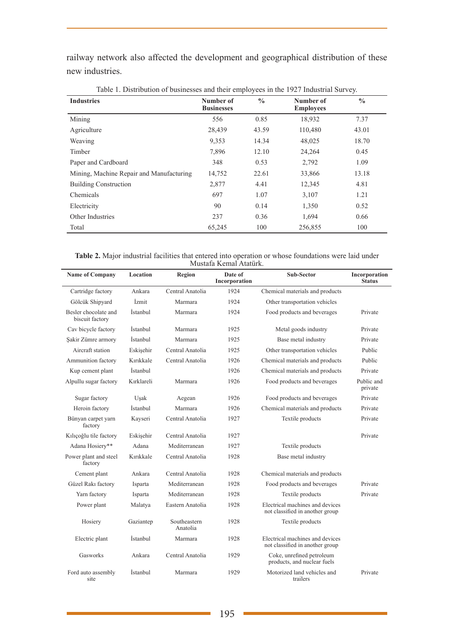railway network also affected the development and geographical distribution of these new industries.

| Twore it. Distribution of cubinesses and their employees in the $1/2$ , magnetial survey.<br><b>Industries</b> | Number of<br><b>Businesses</b> | $\frac{0}{0}$ | Number of<br><b>Employees</b> | $\frac{0}{0}$ |
|----------------------------------------------------------------------------------------------------------------|--------------------------------|---------------|-------------------------------|---------------|
| Mining                                                                                                         | 556                            | 0.85          | 18,932                        | 7.37          |
| Agriculture                                                                                                    | 28,439                         | 43.59         | 110,480                       | 43.01         |
| Weaving                                                                                                        | 9,353                          | 14.34         | 48,025                        | 18.70         |
| Timber                                                                                                         | 7,896                          | 12.10         | 24,264                        | 0.45          |
| Paper and Cardboard                                                                                            | 348                            | 0.53          | 2,792                         | 1.09          |
| Mining, Machine Repair and Manufacturing                                                                       | 14,752                         | 22.61         | 33,866                        | 13.18         |
| <b>Building Construction</b>                                                                                   | 2,877                          | 4.41          | 12,345                        | 4.81          |
| Chemicals                                                                                                      | 697                            | 1.07          | 3,107                         | 1.21          |
| Electricity                                                                                                    | 90                             | 0.14          | 1,350                         | 0.52          |
| Other Industries                                                                                               | 237                            | 0.36          | 1,694                         | 0.66          |
| Total                                                                                                          | 65,245                         | 100           | 256,855                       | 100           |

Table 1. Distribution of businesses and their employees in the 1927 Industrial Survey.

| Table 2. Major industrial facilities that entered into operation or whose foundations were laid under |  |                        |  |  |  |
|-------------------------------------------------------------------------------------------------------|--|------------------------|--|--|--|
|                                                                                                       |  | Mustafa Kemal Atatürk. |  |  |  |

| <b>Name of Company</b>                  | Location   | Region                   | Date of<br>Incorporation | Sub-Sector                                                         | Incorporation<br><b>Status</b> |
|-----------------------------------------|------------|--------------------------|--------------------------|--------------------------------------------------------------------|--------------------------------|
| Cartridge factory                       | Ankara     | Central Anatolia         | 1924                     | Chemical materials and products                                    |                                |
| Gölcük Shipyard                         | İzmit      | Marmara                  | 1924                     | Other transportation vehicles                                      |                                |
| Besler chocolate and<br>biscuit factory | İstanbul   | Marmara                  | 1924                     | Food products and beverages                                        | Private                        |
| Cav bicycle factory                     | İstanbul   | Marmara                  | 1925                     | Metal goods industry                                               | Private                        |
| Şakir Zümre armory                      | İstanbul   | Marmara                  | 1925                     | Base metal industry                                                | Private                        |
| Aircraft station                        | Eskisehir  | Central Anatolia         | 1925                     | Other transportation vehicles                                      | Public                         |
| Ammunition factory                      | Kırıkkale  | Central Anatolia         | 1926                     | Chemical materials and products                                    | Public                         |
| Kup cement plant                        | İstanbul   |                          | 1926                     | Chemical materials and products                                    | Private                        |
| Alpullu sugar factory                   | Kırklareli | Marmara                  | 1926                     | Food products and beverages                                        | Public and<br>private          |
| Sugar factory                           | Usak       | Aegean                   | 1926                     | Food products and beverages                                        | Private                        |
| Heroin factory                          | İstanbul   | Marmara                  | 1926                     | Chemical materials and products                                    | Private                        |
| Bünyan carpet yarn<br>factory           | Kayseri    | Central Anatolia         | 1927                     | Textile products                                                   | Private                        |
| Kılıçoğlu tile factory                  | Eskişehir  | Central Anatolia         | 1927                     |                                                                    | Private                        |
| Adana Hosiery**                         | Adana      | Mediterranean            | 1927                     | Textile products                                                   |                                |
| Power plant and steel<br>factory        | Kırıkkale  | Central Anatolia         | 1928                     | Base metal industry                                                |                                |
| Cement plant                            | Ankara     | Central Anatolia         | 1928                     | Chemical materials and products                                    |                                |
| Güzel Rakı factory                      | Isparta    | Mediterranean            | 1928                     | Food products and beverages                                        | Private                        |
| Yarn factory                            | Isparta    | Mediterranean            | 1928                     | Textile products                                                   | Private                        |
| Power plant                             | Malatya    | Eastern Anatolia         | 1928                     | Electrical machines and devices<br>not classified in another group |                                |
| Hosiery                                 | Gaziantep  | Southeastern<br>Anatolia | 1928                     | Textile products                                                   |                                |
| Electric plant                          | İstanbul   | Marmara                  | 1928                     | Electrical machines and devices<br>not classified in another group |                                |
| Gasworks                                | Ankara     | Central Anatolia         | 1929                     | Coke, unrefined petroleum<br>products, and nuclear fuels           |                                |
| Ford auto assembly<br>site              | İstanbul   | Marmara                  | 1929                     | Motorized land vehicles and<br>trailers                            | Private                        |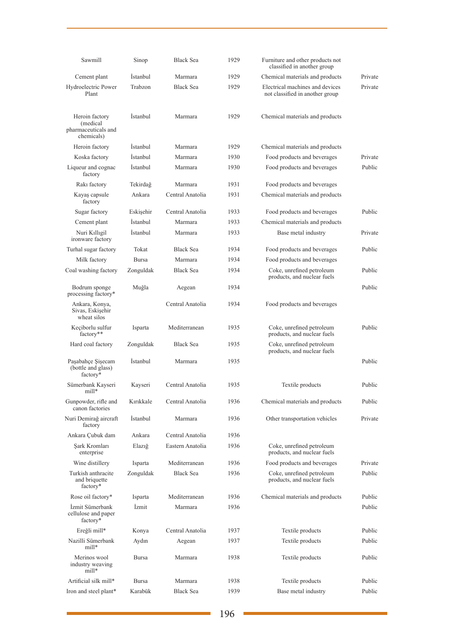| Sawmill                                                          | Sinop           | <b>Black Sea</b> | 1929 | Furniture and other products not<br>classified in another group    |         |
|------------------------------------------------------------------|-----------------|------------------|------|--------------------------------------------------------------------|---------|
| Cement plant                                                     | Istanbul        | Marmara          | 1929 | Chemical materials and products                                    | Private |
| Hydroelectric Power<br>Plant                                     | Trabzon         | <b>Black Sea</b> | 1929 | Electrical machines and devices<br>not classified in another group | Private |
| Heroin factory<br>(medical)<br>pharmaceuticals and<br>chemicals) | Istanbul        | Marmara          | 1929 | Chemical materials and products                                    |         |
| Heroin factory                                                   | Istanbul        | Marmara          | 1929 | Chemical materials and products                                    |         |
| Koska factory                                                    | <i>Istanbul</i> | Marmara          | 1930 | Food products and beverages                                        | Private |
| Liqueur and cognac<br>factory                                    | <i>Istanbul</i> | Marmara          | 1930 | Food products and beverages                                        | Public  |
| Raki factory                                                     | Tekirdağ        | Marmara          | 1931 | Food products and beverages                                        |         |
| Kayaş capsule<br>factory                                         | Ankara          | Central Anatolia | 1931 | Chemical materials and products                                    |         |
| Sugar factory                                                    | Eskişehir       | Central Anatolia | 1933 | Food products and beverages                                        | Public  |
| Cement plant                                                     | İstanbul        | Marmara          | 1933 | Chemical materials and products                                    |         |
| Nuri Kıllıgil<br>ironware factory                                | <i>Istanbul</i> | Marmara          | 1933 | Base metal industry                                                | Private |
| Turhal sugar factory                                             | Tokat           | <b>Black Sea</b> | 1934 | Food products and beverages                                        | Public  |
| Milk factory                                                     | <b>Bursa</b>    | Marmara          | 1934 | Food products and beverages                                        |         |
| Coal washing factory                                             | Zonguldak       | <b>Black Sea</b> | 1934 | Coke, unrefined petroleum<br>products, and nuclear fuels           | Public  |
| Bodrum sponge<br>processing factory*                             | Muğla           | Aegean           | 1934 |                                                                    | Public  |
| Ankara, Konya,<br>Sivas, Eskişehir<br>wheat silos                |                 | Central Anatolia | 1934 | Food products and beverages                                        |         |
| Keçiborlu sulfur<br>factory**                                    | Isparta         | Mediterranean    | 1935 | Coke, unrefined petroleum<br>products, and nuclear fuels           | Public  |
| Hard coal factory                                                | Zonguldak       | <b>Black Sea</b> | 1935 | Coke, unrefined petroleum<br>products, and nuclear fuels           |         |
| Paşabahçe Şişecam<br>(bottle and glass)<br>factory*              | Istanbul        | Marmara          | 1935 |                                                                    | Public  |
| Sümerbank Kayseri<br>mill*                                       | Kayseri         | Central Anatolia | 1935 | Textile products                                                   | Public  |
| Gunpowder, rifle and<br>canon factories                          | Kırıkkale       | Central Anatolia | 1936 | Chemical materials and products                                    | Public  |
| Nuri Demirağ aircraft<br>factory                                 | Istanbul        | Marmara          | 1936 | Other transportation vehicles                                      | Private |
| Ankara Cubuk dam                                                 | Ankara          | Central Anatolia | 1936 |                                                                    |         |
| Şark Kromları<br>enterprise                                      | Elazığ          | Eastern Anatolia | 1936 | Coke, unrefined petroleum<br>products, and nuclear fuels           |         |
| Wine distillery                                                  | Isparta         | Mediterranean    | 1936 | Food products and beverages                                        | Private |
| Turkish anthracite<br>and briquette<br>factory*                  | Zonguldak       | <b>Black Sea</b> | 1936 | Coke, unrefined petroleum<br>products, and nuclear fuels           | Public  |
| Rose oil factory*                                                | Isparta         | Mediterranean    | 1936 | Chemical materials and products                                    | Public  |
| İzmit Sümerbank<br>cellulose and paper<br>factory*               | İzmit           | Marmara          | 1936 |                                                                    | Public  |
| Ereğli mill*                                                     | Konya           | Central Anatolia | 1937 | Textile products                                                   | Public  |
| Nazilli Sümerbank<br>mill*                                       | Aydın           | Aegean           | 1937 | Textile products                                                   | Public  |
| Merinos wool<br>industry weaving<br>mill*                        | <b>Bursa</b>    | Marmara          | 1938 | Textile products                                                   | Public  |
| Artificial silk mill*                                            | Bursa           | Marmara          | 1938 | Textile products                                                   | Public  |
| Iron and steel plant*                                            | Karabük         | Black Sea        | 1939 | Base metal industry                                                | Public  |

÷,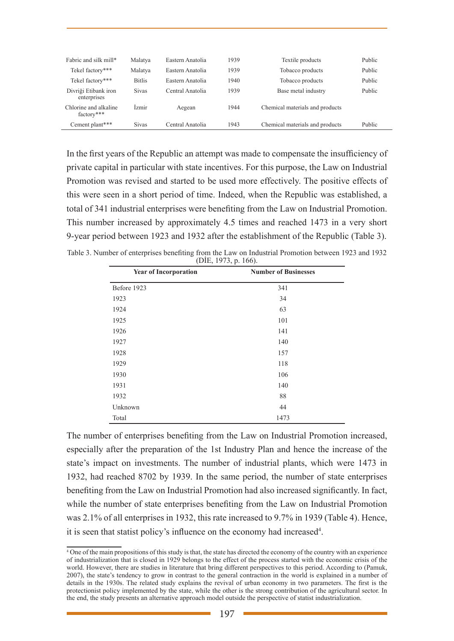| Fabric and silk mill*               | Malatya       | Eastern Anatolia | 1939 | Textile products                | Public |
|-------------------------------------|---------------|------------------|------|---------------------------------|--------|
| Tekel factory***                    | Malatya       | Eastern Anatolia | 1939 | Tobacco products                | Public |
| Tekel factory***                    | <b>Bitlis</b> | Eastern Anatolia | 1940 | Tobacco products                | Public |
| Divriği Etibank iron<br>enterprises | <b>Sivas</b>  | Central Anatolia | 1939 | Base metal industry             | Public |
| Chlorine and alkaline<br>factory*** | İzmir         | Aegean           | 1944 | Chemical materials and products |        |
| Cement plant***                     | <b>Sivas</b>  | Central Anatolia | 1943 | Chemical materials and products | Public |

In the first years of the Republic an attempt was made to compensate the insufficiency of private capital in particular with state incentives. For this purpose, the Law on Industrial Promotion was revised and started to be used more effectively. The positive effects of this were seen in a short period of time. Indeed, when the Republic was established, a total of 341 industrial enterprises were benefiting from the Law on Industrial Promotion. This number increased by approximately 4.5 times and reached 1473 in a very short 9-year period between 1923 and 1932 after the establishment of the Republic (Table 3).

Table 3. Number of enterprises benefiting from the Law on Industrial Promotion between 1923 and 1932 (DİE, 1973, p. 166).

| <b>Year of Incorporation</b> | <b>Number of Businesses</b> |  |
|------------------------------|-----------------------------|--|
| Before 1923                  | 341                         |  |
| 1923                         | 34                          |  |
| 1924                         | 63                          |  |
| 1925                         | 101                         |  |
| 1926                         | 141                         |  |
| 1927                         | 140                         |  |
| 1928                         | 157                         |  |
| 1929                         | 118                         |  |
| 1930                         | 106                         |  |
| 1931                         | 140                         |  |
| 1932                         | 88                          |  |
| Unknown                      | 44                          |  |
| Total                        | 1473                        |  |

The number of enterprises benefiting from the Law on Industrial Promotion increased, especially after the preparation of the 1st Industry Plan and hence the increase of the state's impact on investments. The number of industrial plants, which were 1473 in 1932, had reached 8702 by 1939. In the same period, the number of state enterprises benefiting from the Law on Industrial Promotion had also increased significantly. In fact, while the number of state enterprises benefiting from the Law on Industrial Promotion was 2.1% of all enterprises in 1932, this rate increased to 9.7% in 1939 (Table 4). Hence, it is seen that statist policy's influence on the economy had increased<sup>4</sup>.

<sup>4</sup> One of the main propositions of this study is that, the state has directed the economy of the country with an experience of industrialization that is closed in 1929 belongs to the effect of the process started with the economic crisis of the world. However, there are studies in literature that bring different perspectives to this period. According to (Pamuk, 2007), the state's tendency to grow in contrast to the general contraction in the world is explained in a number of details in the 1930s. The related study explains the revival of urban economy in two parameters. The first is the protectionist policy implemented by the state, while the other is the strong contribution of the agricultural sector. In the end, the study presents an alternative approach model outside the perspective of statist industrialization.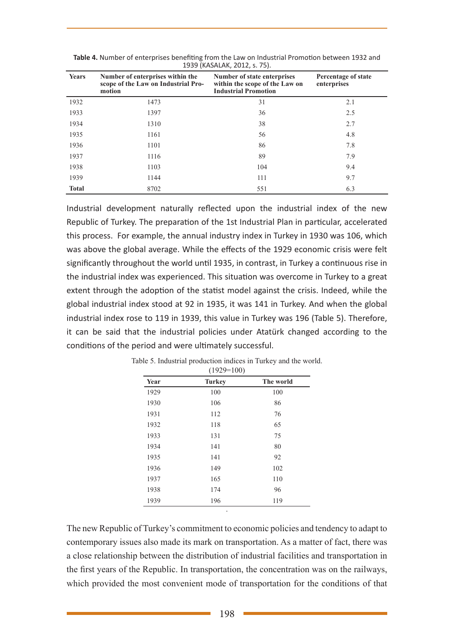| <b>Years</b> | Number of enterprises within the<br>scope of the Law on Industrial Pro-<br>motion | Number of state enterprises<br>within the scope of the Law on<br><b>Industrial Promotion</b> | Percentage of state<br>enterprises |
|--------------|-----------------------------------------------------------------------------------|----------------------------------------------------------------------------------------------|------------------------------------|
| 1932         | 1473                                                                              | 31                                                                                           | 2.1                                |
| 1933         | 1397                                                                              | 36                                                                                           | 2.5                                |
| 1934         | 1310                                                                              | 38                                                                                           | 2.7                                |
| 1935         | 1161                                                                              | 56                                                                                           | 4.8                                |
| 1936         | 1101                                                                              | 86                                                                                           | 7.8                                |
| 1937         | 1116                                                                              | 89                                                                                           | 7.9                                |
| 1938         | 1103                                                                              | 104                                                                                          | 9.4                                |
| 1939         | 1144                                                                              | 111                                                                                          | 9.7                                |
| <b>Total</b> | 8702                                                                              | 551                                                                                          | 6.3                                |

**Table 4.** Number of enterprises benefiting from the Law on Industrial Promotion between 1932 and 1939 (KASALAK, 2012, s. 75).

Industrial development naturally reflected upon the industrial index of the new Republic of Turkey. The preparation of the 1st Industrial Plan in particular, accelerated this process. For example, the annual industry index in Turkey in 1930 was 106, which was above the global average. While the effects of the 1929 economic crisis were felt significantly throughout the world until 1935, in contrast, in Turkey a continuous rise in the industrial index was experienced. This situation was overcome in Turkey to a great extent through the adoption of the statist model against the crisis. Indeed, while the global industrial index stood at 92 in 1935, it was 141 in Turkey. And when the global industrial index rose to 119 in 1939, this value in Turkey was 196 (Table 5). Therefore, it can be said that the industrial policies under Atatürk changed according to the conditions of the period and were ultimately successful.

| Year | <b>Turkey</b> | The world |
|------|---------------|-----------|
| 1929 | 100           | 100       |
| 1930 | 106           | 86        |
| 1931 | 112           | 76        |
| 1932 | 118           | 65        |
| 1933 | 131           | 75        |
| 1934 | 141           | 80        |
| 1935 | 141           | 92        |
| 1936 | 149           | 102       |
| 1937 | 165           | 110       |
| 1938 | 174           | 96        |
| 1939 | 196           | 119       |

Table 5. Industrial production indices in Turkey and the world.  $(1929=100)$ 

The new Republic of Turkey's commitment to economic policies and tendency to adapt to contemporary issues also made its mark on transportation. As a matter of fact, there was a close relationship between the distribution of industrial facilities and transportation in the first years of the Republic. In transportation, the concentration was on the railways, which provided the most convenient mode of transportation for the conditions of that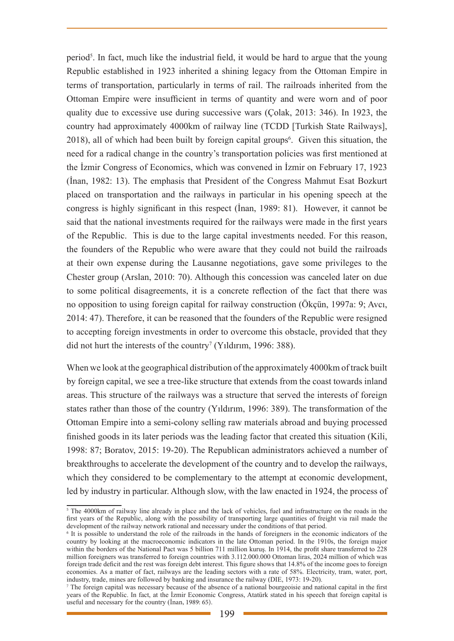period<sup>5</sup>. In fact, much like the industrial field, it would be hard to argue that the young Republic established in 1923 inherited a shining legacy from the Ottoman Empire in terms of transportation, particularly in terms of rail. The railroads inherited from the Ottoman Empire were insufficient in terms of quantity and were worn and of poor quality due to excessive use during successive wars (Çolak, 2013: 346). In 1923, the country had approximately 4000km of railway line (TCDD [Turkish State Railways],  $2018$ ), all of which had been built by foreign capital groups<sup>6</sup>. Given this situation, the need for a radical change in the country's transportation policies was first mentioned at the İzmir Congress of Economics, which was convened in İzmir on February 17, 1923 (İnan, 1982: 13). The emphasis that President of the Congress Mahmut Esat Bozkurt placed on transportation and the railways in particular in his opening speech at the congress is highly significant in this respect (İnan, 1989: 81). However, it cannot be said that the national investments required for the railways were made in the first years of the Republic. This is due to the large capital investments needed. For this reason, the founders of the Republic who were aware that they could not build the railroads at their own expense during the Lausanne negotiations, gave some privileges to the Chester group (Arslan, 2010: 70). Although this concession was canceled later on due to some political disagreements, it is a concrete reflection of the fact that there was no opposition to using foreign capital for railway construction (Ökçün, 1997a: 9; Avcı, 2014: 47). Therefore, it can be reasoned that the founders of the Republic were resigned to accepting foreign investments in order to overcome this obstacle, provided that they did not hurt the interests of the country<sup>7</sup> (Yıldırım, 1996: 388).

When we look at the geographical distribution of the approximately 4000km of track built by foreign capital, we see a tree-like structure that extends from the coast towards inland areas. This structure of the railways was a structure that served the interests of foreign states rather than those of the country (Yıldırım, 1996: 389). The transformation of the Ottoman Empire into a semi-colony selling raw materials abroad and buying processed finished goods in its later periods was the leading factor that created this situation (Kili, 1998: 87; Boratov, 2015: 19-20). The Republican administrators achieved a number of breakthroughs to accelerate the development of the country and to develop the railways, which they considered to be complementary to the attempt at economic development, led by industry in particular. Although slow, with the law enacted in 1924, the process of

<sup>5</sup> The 4000km of railway line already in place and the lack of vehicles, fuel and infrastructure on the roads in the first years of the Republic, along with the possibility of transporting large quantities of freight via rail made the development of the railway network rational and necessary under the conditions of that period.

<sup>6</sup> It is possible to understand the role of the railroads in the hands of foreigners in the economic indicators of the country by looking at the macroeconomic indicators in the late Ottoman period. In the 1910s, the foreign major within the borders of the National Pact was 5 billion 711 million kurus. In 1914, the profit share transferred to 228 million foreigners was transferred to foreign countries with 3.112.000.000 Ottoman liras, 2024 million of which was foreign trade deficit and the rest was foreign debt interest. This figure shows that 14.8% of the income goes to foreign economies. As a matter of fact, railways are the leading sectors with a rate of 58%. Electricity, tram, water, port, industry, trade, mines are followed by banking and insurance the railway (DIE, 1973: 19-20).

<sup>7</sup> The foreign capital was necessary because of the absence of a national bourgeoisie and national capital in the first years of the Republic. In fact, at the İzmir Economic Congress, Atatürk stated in his speech that foreign capital is useful and necessary for the country (İnan, 1989: 65).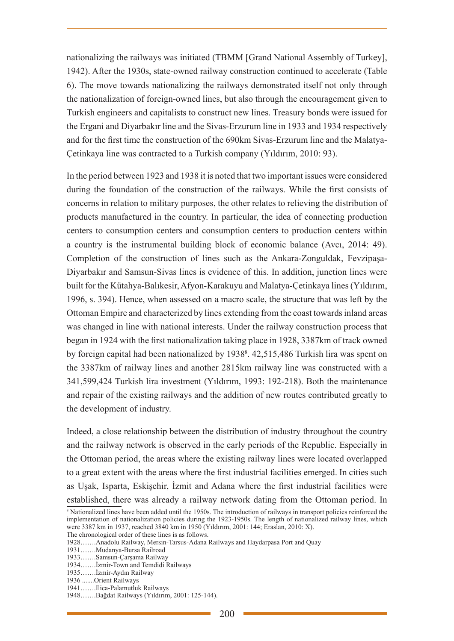nationalizing the railways was initiated (TBMM [Grand National Assembly of Turkey], 1942). After the 1930s, state-owned railway construction continued to accelerate (Table 6). The move towards nationalizing the railways demonstrated itself not only through the nationalization of foreign-owned lines, but also through the encouragement given to Turkish engineers and capitalists to construct new lines. Treasury bonds were issued for the Ergani and Diyarbakır line and the Sivas-Erzurum line in 1933 and 1934 respectively and for the first time the construction of the 690km Sivas-Erzurum line and the Malatya-Çetinkaya line was contracted to a Turkish company (Yıldırım, 2010: 93).

In the period between 1923 and 1938 it is noted that two important issues were considered during the foundation of the construction of the railways. While the first consists of concerns in relation to military purposes, the other relates to relieving the distribution of products manufactured in the country. In particular, the idea of connecting production centers to consumption centers and consumption centers to production centers within a country is the instrumental building block of economic balance (Avcı, 2014: 49). Completion of the construction of lines such as the Ankara-Zonguldak, Fevzipaşa-Diyarbakır and Samsun-Sivas lines is evidence of this. In addition, junction lines were built for the Kütahya-Balıkesir, Afyon-Karakuyu and Malatya-Çetinkaya lines (Yıldırım, 1996, s. 394). Hence, when assessed on a macro scale, the structure that was left by the Ottoman Empire and characterized by lines extending from the coast towards inland areas was changed in line with national interests. Under the railway construction process that began in 1924 with the first nationalization taking place in 1928, 3387km of track owned by foreign capital had been nationalized by 1938<sup>8</sup>. 42,515,486 Turkish lira was spent on the 3387km of railway lines and another 2815km railway line was constructed with a 341,599,424 Turkish lira investment (Yıldırım, 1993: 192-218). Both the maintenance and repair of the existing railways and the addition of new routes contributed greatly to the development of industry.

Indeed, a close relationship between the distribution of industry throughout the country and the railway network is observed in the early periods of the Republic. Especially in the Ottoman period, the areas where the existing railway lines were located overlapped to a great extent with the areas where the first industrial facilities emerged. In cities such as Uşak, Isparta, Eskişehir, İzmit and Adana where the first industrial facilities were established, there was already a railway network dating from the Ottoman period. In

<sup>&</sup>lt;sup>8</sup> Nationalized lines have been added until the 1950s. The introduction of railways in transport policies reinforced the implementation of nationalization policies during the 1923-1950s. The length of nationalized railway lines, which were 3387 km in 1937, reached 3840 km in 1950 (Yıldırım, 2001: 144; Eraslan, 2010: X).

The chronological order of these lines is as follows.

<sup>1928…….</sup>Anadolu Railway, Mersin-Tarsus-Adana Railways and Haydarpasa Port and Quay

<sup>1931…….</sup>Mudanya-Bursa Railroad

<sup>1933…….</sup>Samsun-Çarşama Railway

<sup>1934…….</sup>İzmir-Town and Temdidi Railways

<sup>1935…….</sup>İzmir-Aydın Railway

<sup>1936 .......</sup>Orient Railways

<sup>1941…….</sup>Ilica-Palamutluk Railways

<sup>1948…….</sup>Bağdat Railways (Yıldırım, 2001: 125-144).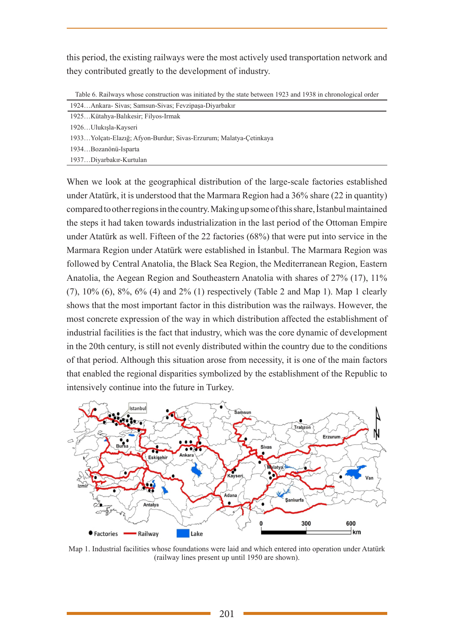this period, the existing railways were the most actively used transportation network and they contributed greatly to the development of industry.

Table 6. Railways whose construction was initiated by the state between 1923 and 1938 in chronological order

| 1924Ankara-Sivas: Samsun-Sivas: Fevzipasa-Divarbakır               |
|--------------------------------------------------------------------|
| 1925Kütahya-Balıkesir; Filyos-Irmak                                |
| 1926Ulukışla-Kayseri                                               |
| 1933Yolcatı-Elazığ; Afyon-Burdur; Sivas-Erzurum; Malatya-Cetinkaya |
| 1934Bozanönü-Isparta                                               |
| 1937Diyarbakır-Kurtulan                                            |

When we look at the geographical distribution of the large-scale factories established under Atatürk, it is understood that the Marmara Region had a 36% share (22 in quantity) compared to other regions in the country. Making up some of this share, İstanbul maintained the steps it had taken towards industrialization in the last period of the Ottoman Empire under Atatürk as well. Fifteen of the 22 factories (68%) that were put into service in the Marmara Region under Atatürk were established in İstanbul. The Marmara Region was followed by Central Anatolia, the Black Sea Region, the Mediterranean Region, Eastern Anatolia, the Aegean Region and Southeastern Anatolia with shares of 27% (17), 11% (7), 10% (6), 8%, 6% (4) and 2% (1) respectively (Table 2 and Map 1). Map 1 clearly shows that the most important factor in this distribution was the railways. However, the most concrete expression of the way in which distribution affected the establishment of industrial facilities is the fact that industry, which was the core dynamic of development in the 20th century, is still not evenly distributed within the country due to the conditions of that period. Although this situation arose from necessity, it is one of the main factors that enabled the regional disparities symbolized by the establishment of the Republic to intensively continue into the future in Turkey.



Map 1. Industrial facilities whose foundations were laid and which entered into operation under Atatürk (railway lines present up until 1950 are shown).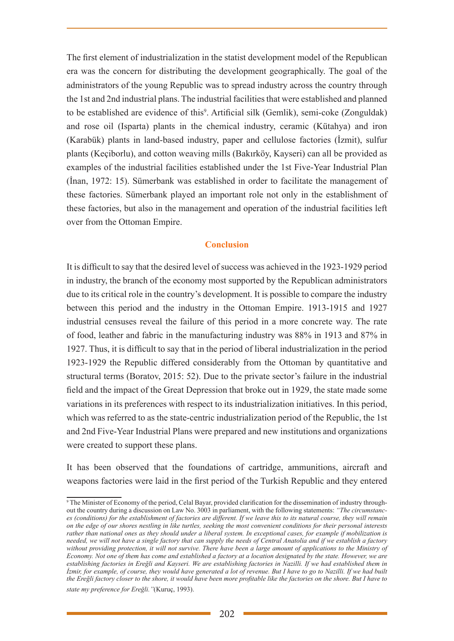The first element of industrialization in the statist development model of the Republican era was the concern for distributing the development geographically. The goal of the administrators of the young Republic was to spread industry across the country through the 1st and 2nd industrial plans. The industrial facilities that were established and planned to be established are evidence of this<sup>9</sup>. Artificial silk (Gemlik), semi-coke (Zonguldak) and rose oil (Isparta) plants in the chemical industry, ceramic (Kütahya) and iron (Karabük) plants in land-based industry, paper and cellulose factories (İzmit), sulfur plants (Keçiborlu), and cotton weaving mills (Bakırköy, Kayseri) can all be provided as examples of the industrial facilities established under the 1st Five-Year Industrial Plan (İnan, 1972: 15). Sümerbank was established in order to facilitate the management of these factories. Sümerbank played an important role not only in the establishment of these factories, but also in the management and operation of the industrial facilities left over from the Ottoman Empire.

### **Conclusion**

It is difficult to say that the desired level of success was achieved in the 1923-1929 period in industry, the branch of the economy most supported by the Republican administrators due to its critical role in the country's development. It is possible to compare the industry between this period and the industry in the Ottoman Empire. 1913-1915 and 1927 industrial censuses reveal the failure of this period in a more concrete way. The rate of food, leather and fabric in the manufacturing industry was 88% in 1913 and 87% in 1927. Thus, it is difficult to say that in the period of liberal industrialization in the period 1923-1929 the Republic differed considerably from the Ottoman by quantitative and structural terms (Boratov, 2015: 52). Due to the private sector's failure in the industrial field and the impact of the Great Depression that broke out in 1929, the state made some variations in its preferences with respect to its industrialization initiatives. In this period, which was referred to as the state-centric industrialization period of the Republic, the 1st and 2nd Five-Year Industrial Plans were prepared and new institutions and organizations were created to support these plans.

It has been observed that the foundations of cartridge, ammunitions, aircraft and weapons factories were laid in the first period of the Turkish Republic and they entered

<sup>9</sup> The Minister of Economy of the period, Celal Bayar, provided clarification for the dissemination of industry throughout the country during a discussion on Law No. 3003 in parliament, with the following statements: *"The circumstances (conditions) for the establishment of factories are different. If we leave this to its natural course, they will remain on the edge of our shores nestling in like turtles, seeking the most convenient conditions for their personal interests rather than national ones as they should under a liberal system. In exceptional cases, for example if mobilization is needed, we will not have a single factory that can supply the needs of Central Anatolia and if we establish a factory*  without providing protection, it will not survive. There have been a large amount of applications to the Ministry of *Economy. Not one of them has come and established a factory at a location designated by the state. However, we are establishing factories in Ereğli and Kayseri. We are establishing factories in Nazilli. If we had established them in <i>İzmir, for example, of course, they would have generated a lot of revenue. But I have to go to Nazilli. If we had built the Ereğli factory closer to the shore, it would have been more profitable like the factories on the shore. But I have to* 

*state my preference for Ereğli."*(Kuruç, 1993).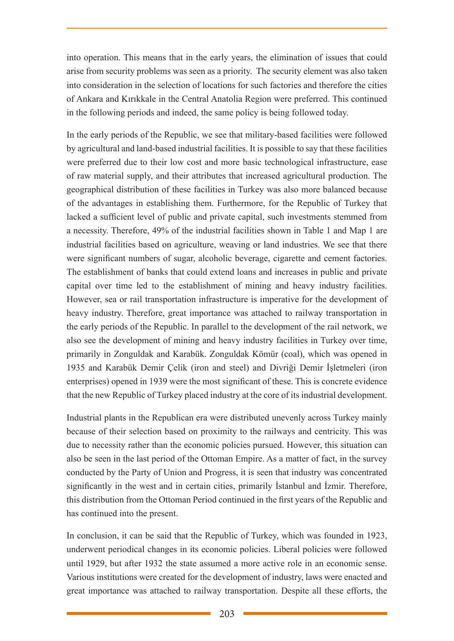into operation. This means that in the early years, the elimination of issues that could arise from security problems was seen as a priority. The security element was also taken into consideration in the selection of locations for such factories and therefore the cities of Ankara and Kırıkkale in the Central Anatolia Region were preferred. This continued in the following periods and indeed, the same policy is being followed today.

In the early periods of the Republic, we see that military-based facilities were followed by agricultural and land-based industrial facilities. It is possible to say that these facilities were preferred due to their low cost and more basic technological infrastructure, ease of raw material supply, and their attributes that increased agricultural production. The geographical distribution of these facilities in Turkey was also more balanced because of the advantages in establishing them. Furthermore, for the Republic of Turkey that lacked a sufficient level of public and private capital, such investments stemmed from a necessity. Therefore, 49% of the industrial facilities shown in Table 1 and Map 1 are industrial facilities based on agriculture, weaving or land industries. We see that there were significant numbers of sugar, alcoholic beverage, cigarette and cement factories. The establishment of banks that could extend loans and increases in public and private capital over time led to the establishment of mining and heavy industry facilities. However, sea or rail transportation infrastructure is imperative for the development of heavy industry. Therefore, great importance was attached to railway transportation in the early periods of the Republic. In parallel to the development of the rail network, we also see the development of mining and heavy industry facilities in Turkey over time, primarily in Zonguldak and Karabük. Zonguldak Kömür (coal), which was opened in 1935 and Karabük Demir Çelik (iron and steel) and Divriği Demir İşletmeleri (iron enterprises) opened in 1939 were the most significant of these. This is concrete evidence that the new Republic of Turkey placed industry at the core of its industrial development.

Industrial plants in the Republican era were distributed unevenly across Turkey mainly because of their selection based on proximity to the railways and centricity. This was due to necessity rather than the economic policies pursued. However, this situation can also be seen in the last period of the Ottoman Empire. As a matter of fact, in the survey conducted by the Party of Union and Progress, it is seen that industry was concentrated significantly in the west and in certain cities, primarily İstanbul and İzmir. Therefore, this distribution from the Ottoman Period continued in the first years of the Republic and has continued into the present.

In conclusion, it can be said that the Republic of Turkey, which was founded in 1923, underwent periodical changes in its economic policies. Liberal policies were followed until 1929, but after 1932 the state assumed a more active role in an economic sense. Various institutions were created for the development of industry, laws were enacted and great importance was attached to railway transportation. Despite all these efforts, the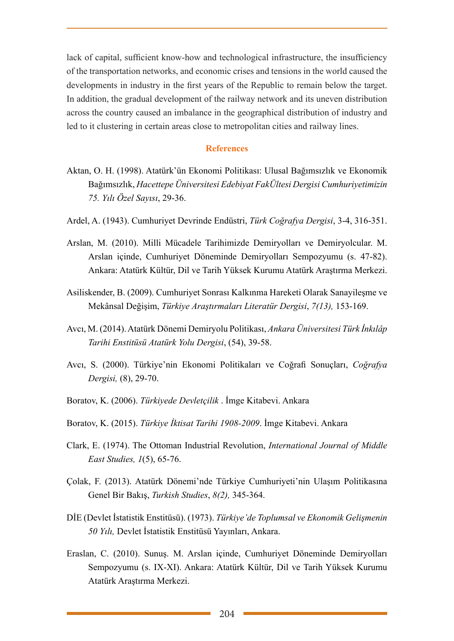lack of capital, sufficient know-how and technological infrastructure, the insufficiency of the transportation networks, and economic crises and tensions in the world caused the developments in industry in the first years of the Republic to remain below the target. In addition, the gradual development of the railway network and its uneven distribution across the country caused an imbalance in the geographical distribution of industry and led to it clustering in certain areas close to metropolitan cities and railway lines.

#### **References**

- Aktan, O. H. (1998). Atatürk'ün Ekonomi Politikası: Ulusal Bağımsızlık ve Ekonomik Bağımsızlık, *Hacettepe Üniversitesi Edebiyat FakÜltesi Dergisi Cumhuriyetimizin 75. Yılı Özel Sayısı*, 29-36.
- Ardel, A. (1943). Cumhuriyet Devrinde Endüstri, *Türk Coğrafya Dergisi*, 3-4, 316-351.
- Arslan, M. (2010). Milli Mücadele Tarihimizde Demiryolları ve Demiryolcular. M. Arslan içinde, Cumhuriyet Döneminde Demiryolları Sempozyumu (s. 47-82). Ankara: Atatürk Kültür, Dil ve Tarih Yüksek Kurumu Atatürk Araştırma Merkezi.
- Asiliskender, B. (2009). Cumhuriyet Sonrası Kalkınma Hareketi Olarak Sanayileşme ve Mekânsal Değişim, *Türkiye Araştırmaları Literatür Dergisi*, *7(13),* 153-169.
- Avcı, M. (2014). Atatürk Dönemi Demiryolu Politikası, *Ankara Üniversitesi Türk İnkılâp Tarihi Enstitüsü Atatürk Yolu Dergisi*, (54), 39-58.
- Avcı, S. (2000). Türkiye'nin Ekonomi Politikaları ve Coğrafi Sonuçları, *Coğrafya Dergisi,* (8), 29-70.
- Boratov, K. (2006). *Türkiyede Devletçilik* . İmge Kitabevi. Ankara
- Boratov, K. (2015). *Türkiye İktisat Tarihi 1908-2009*. İmge Kitabevi. Ankara
- Clark, E. (1974). The Ottoman Industrial Revolution, *International Journal of Middle East Studies, 1*(5), 65-76.
- Çolak, F. (2013). Atatürk Dönemi'nde Türkiye Cumhuriyeti'nin Ulaşım Politikasına Genel Bir Bakış, *Turkish Studies*, *8(2),* 345-364.
- DİE (Devlet İstatistik Enstitüsü). (1973). *Türkiye'de Toplumsal ve Ekonomik Gelişmenin 50 Yılı,* Devlet İstatistik Enstitüsü Yayınları, Ankara.
- Eraslan, C. (2010). Sunuş. M. Arslan içinde, Cumhuriyet Döneminde Demiryolları Sempozyumu (s. IX-XI). Ankara: Atatürk Kültür, Dil ve Tarih Yüksek Kurumu Atatürk Araştırma Merkezi.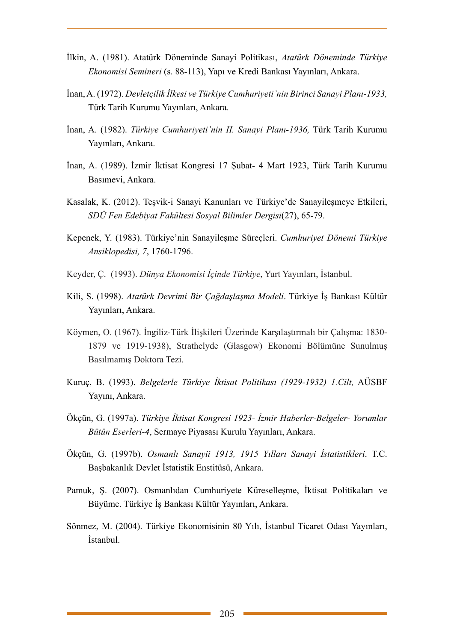- İlkin, A. (1981). Atatürk Döneminde Sanayi Politikası, *Atatürk Döneminde Türkiye Ekonomisi Semineri* (s. 88-113), Yapı ve Kredi Bankası Yayınları, Ankara.
- İnan, A. (1972). *Devletçilik İlkesi ve Türkiye Cumhuriyeti'nin Birinci Sanayi Planı-1933,* Türk Tarih Kurumu Yayınları, Ankara.
- İnan, A. (1982). *Türkiye Cumhuriyeti'nin II. Sanayi Planı-1936,* Türk Tarih Kurumu Yayınları, Ankara.
- İnan, A. (1989). İzmir İktisat Kongresi 17 Şubat- 4 Mart 1923, Türk Tarih Kurumu Basımevi, Ankara.
- Kasalak, K. (2012). Teşvik-i Sanayi Kanunları ve Türkiye'de Sanayileşmeye Etkileri, *SDÜ Fen Edebiyat Fakültesi Sosyal Bilimler Dergisi*(27), 65-79.
- Kepenek, Y. (1983). Türkiye'nin Sanayileşme Süreçleri. *Cumhuriyet Dönemi Türkiye Ansiklopedisi, 7*, 1760-1796.
- Keyder, Ç. (1993). *Dünya Ekonomisi İçinde Türkiye*, Yurt Yayınları, İstanbul.
- Kili, S. (1998). *Atatürk Devrimi Bir Çağdaşlaşma Modeli*. Türkiye İş Bankası Kültür Yayınları, Ankara.
- Köymen, O. (1967). İngiliz-Türk İlişkileri Üzerinde Karşılaştırmalı bir Çalışma: 1830- 1879 ve 1919-1938), Strathclyde (Glasgow) Ekonomi Bölümüne Sunulmuş Basılmamış Doktora Tezi.
- Kuruç, B. (1993). *Belgelerle Türkiye İktisat Politikası (1929-1932) 1.Cilt,* AÜSBF Yayını, Ankara.
- Ökçün, G. (1997a). *Türkiye İktisat Kongresi 1923- İzmir Haberler-Belgeler- Yorumlar Bütün Eserleri-4*, Sermaye Piyasası Kurulu Yayınları, Ankara.
- Ökçün, G. (1997b). *Osmanlı Sanayii 1913, 1915 Yılları Sanayi İstatistikleri*. T.C. Başbakanlık Devlet İstatistik Enstitüsü, Ankara.
- Pamuk, Ş. (2007). Osmanlıdan Cumhuriyete Küreselleşme, İktisat Politikaları ve Büyüme. Türkiye İş Bankası Kültür Yayınları, Ankara.
- Sönmez, M. (2004). Türkiye Ekonomisinin 80 Yılı, İstanbul Ticaret Odası Yayınları, İstanbul.